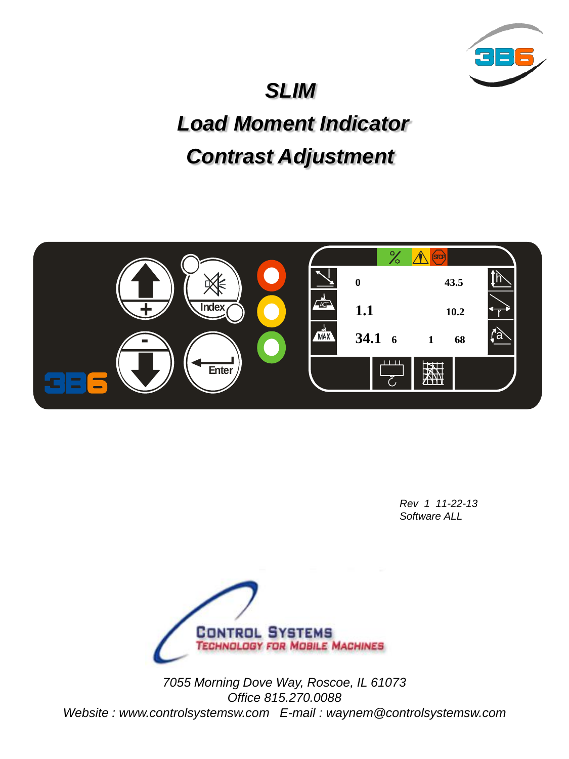

## *SLIM*

## *Load Moment Indicator Contrast Adjustment*



*Rev 1 11-22-13 Software ALL*



*7055 Morning Dove Way, Roscoe, IL 61073 Office 815.270.0088 Website : www.controlsystemsw.com E-mail : waynem@controlsystemsw.com*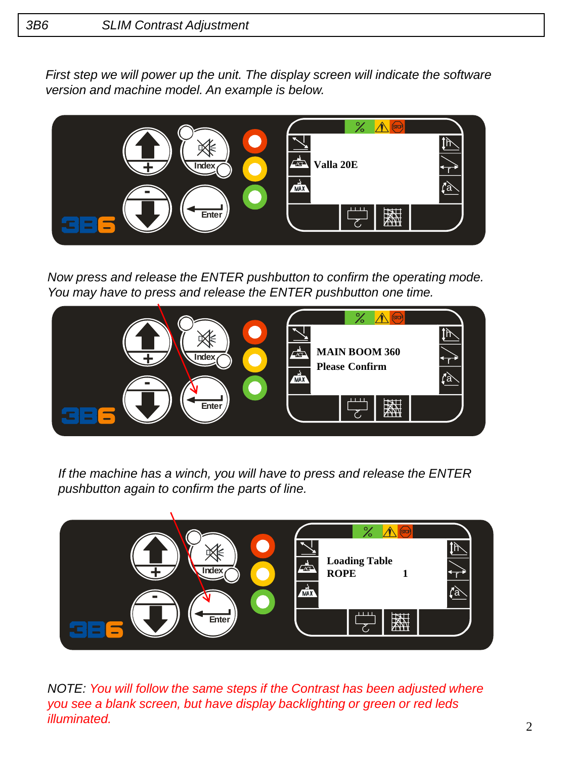*First step we will power up the unit. The display screen will indicate the software version and machine model. An example is below.*



*Now press and release the ENTER pushbutton to confirm the operating mode. You may have to press and release the ENTER pushbutton one time.*



*If the machine has a winch, you will have to press and release the ENTER pushbutton again to confirm the parts of line.* 



*NOTE: You will follow the same steps if the Contrast has been adjusted where you see a blank screen, but have display backlighting or green or red leds illuminated.*